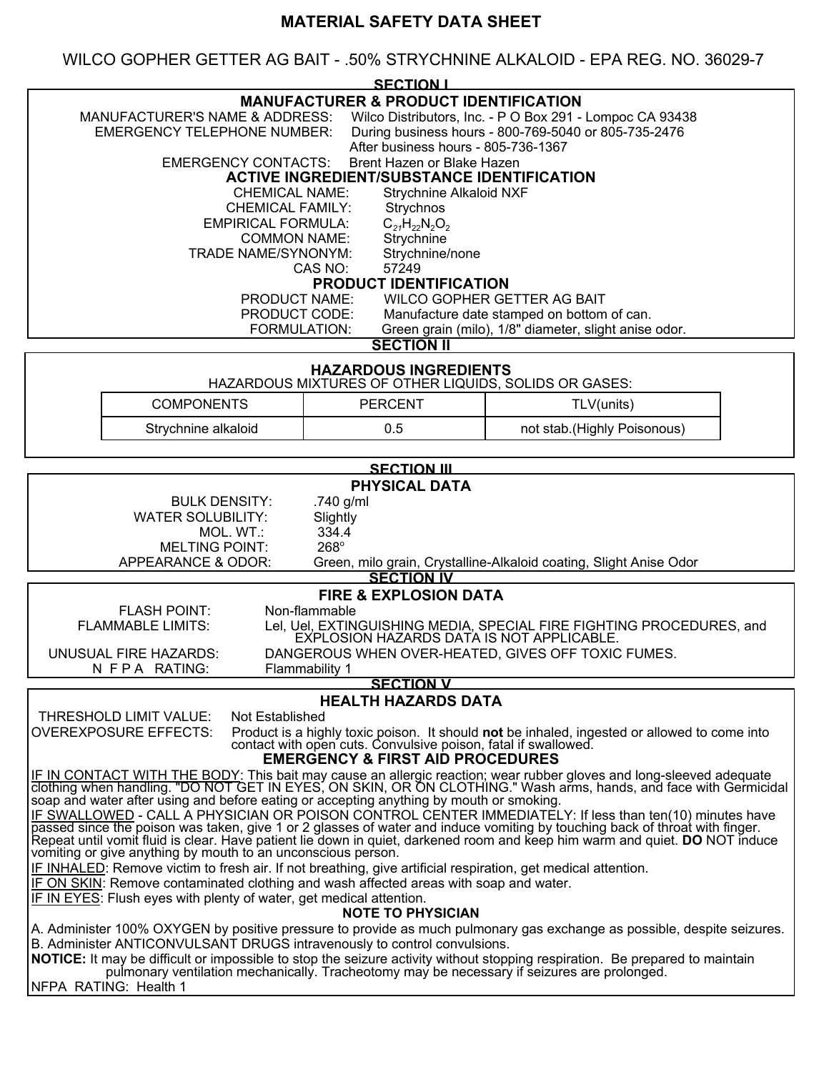# **MATERIAL SAFETY DATA SHEET**

WILCO GOPHER GETTER AG BAIT - .50% STRYCHNINE ALKALOID - EPA REG. NO. 36029-7

|                                                                                                                                                                                                                                                                                                                                                                                                                                                                                                                                                                                                                                                                                                                                                                                                                                                                                                                                                                                                                                                                                    |                     | <b>SECTION I</b> |                             |  |  |
|------------------------------------------------------------------------------------------------------------------------------------------------------------------------------------------------------------------------------------------------------------------------------------------------------------------------------------------------------------------------------------------------------------------------------------------------------------------------------------------------------------------------------------------------------------------------------------------------------------------------------------------------------------------------------------------------------------------------------------------------------------------------------------------------------------------------------------------------------------------------------------------------------------------------------------------------------------------------------------------------------------------------------------------------------------------------------------|---------------------|------------------|-----------------------------|--|--|
| <b>MANUFACTURER &amp; PRODUCT IDENTIFICATION</b><br>MANUFACTURER'S NAME & ADDRESS:<br>Wilco Distributors, Inc. - P O Box 291 - Lompoc CA 93438<br>During business hours - 800-769-5040 or 805-735-2476<br><b>EMERGENCY TELEPHONE NUMBER:</b><br>After business hours - 805-736-1367<br>Brent Hazen or Blake Hazen<br><b>EMERGENCY CONTACTS:</b><br><b>ACTIVE INGREDIENT/SUBSTANCE IDENTIFICATION</b><br><b>CHEMICAL NAME:</b><br><b>Strychnine Alkaloid NXF</b>                                                                                                                                                                                                                                                                                                                                                                                                                                                                                                                                                                                                                    |                     |                  |                             |  |  |
| <b>CHEMICAL FAMILY:</b><br>Strychnos<br><b>EMPIRICAL FORMULA:</b><br>$C_{21}H_{22}N_2O_2$<br><b>COMMON NAME:</b><br>Strychnine<br><b>TRADE NAME/SYNONYM:</b><br>Strychnine/none<br>57249<br>CAS NO:<br><b>PRODUCT IDENTIFICATION</b><br>WILCO GOPHER GETTER AG BAIT<br><b>PRODUCT NAME:</b>                                                                                                                                                                                                                                                                                                                                                                                                                                                                                                                                                                                                                                                                                                                                                                                        |                     |                  |                             |  |  |
| PRODUCT CODE:<br>Manufacture date stamped on bottom of can.<br>Green grain (milo), 1/8" diameter, slight anise odor.<br>FORMULATION:                                                                                                                                                                                                                                                                                                                                                                                                                                                                                                                                                                                                                                                                                                                                                                                                                                                                                                                                               |                     |                  |                             |  |  |
| <b>SECTION II</b>                                                                                                                                                                                                                                                                                                                                                                                                                                                                                                                                                                                                                                                                                                                                                                                                                                                                                                                                                                                                                                                                  |                     |                  |                             |  |  |
| <b>HAZARDOUS INGREDIENTS</b><br>HAZARDOUS MIXTURES OF OTHER LIQUIDS, SOLIDS OR GASES:                                                                                                                                                                                                                                                                                                                                                                                                                                                                                                                                                                                                                                                                                                                                                                                                                                                                                                                                                                                              |                     |                  |                             |  |  |
|                                                                                                                                                                                                                                                                                                                                                                                                                                                                                                                                                                                                                                                                                                                                                                                                                                                                                                                                                                                                                                                                                    | <b>COMPONENTS</b>   | <b>PERCENT</b>   | TLV(units)                  |  |  |
|                                                                                                                                                                                                                                                                                                                                                                                                                                                                                                                                                                                                                                                                                                                                                                                                                                                                                                                                                                                                                                                                                    | Strychnine alkaloid | 0.5              | not stab.(Highly Poisonous) |  |  |
| <b>SECTION III</b>                                                                                                                                                                                                                                                                                                                                                                                                                                                                                                                                                                                                                                                                                                                                                                                                                                                                                                                                                                                                                                                                 |                     |                  |                             |  |  |
| <b>PHYSICAL DATA</b><br><b>BULK DENSITY:</b><br>.740 g/ml<br><b>WATER SOLUBILITY:</b><br>Slightly<br>334.4<br>MOL. WT.:<br>268°<br><b>MELTING POINT:</b><br>APPEARANCE & ODOR:<br>Green, milo grain, Crystalline-Alkaloid coating, Slight Anise Odor<br><b>SECTION IV</b>                                                                                                                                                                                                                                                                                                                                                                                                                                                                                                                                                                                                                                                                                                                                                                                                          |                     |                  |                             |  |  |
| <b>FIRE &amp; EXPLOSION DATA</b><br>Non-flammable<br><b>FLASH POINT:</b><br><b>FLAMMABLE LIMITS:</b><br>Lel, Uel, EXTINGUISHING MEDIA, SPECIAL FIRE FIGHTING PROCEDURES, and<br>EXPLOSION HAZARDS DATA IS NOT APPLICABLE.<br><b>UNUSUAL FIRE HAZARDS:</b><br>DANGEROUS WHEN OVER-HEATED, GIVES OFF TOXIC FUMES.<br>N FPA RATING:<br>Flammability 1                                                                                                                                                                                                                                                                                                                                                                                                                                                                                                                                                                                                                                                                                                                                 |                     |                  |                             |  |  |
| <b>SECTION V</b><br><b>HEALTH HAZARDS DATA</b>                                                                                                                                                                                                                                                                                                                                                                                                                                                                                                                                                                                                                                                                                                                                                                                                                                                                                                                                                                                                                                     |                     |                  |                             |  |  |
| THRESHOLD LIMIT VALUE:<br>Not Established<br><b>OVEREXPOSURE EFFECTS:</b><br>Product is a highly toxic poison. It should not be inhaled, ingested or allowed to come into<br>contact with open cuts. Convulsive poison, fatal if swallowed.<br><b>EMERGENCY &amp; FIRST AID PROCEDURES</b>                                                                                                                                                                                                                                                                                                                                                                                                                                                                                                                                                                                                                                                                                                                                                                                         |                     |                  |                             |  |  |
| IF IN CONTACT WITH THE BODY: This bait may cause an allergic reaction; wear rubber gloves and long-sleeved adequate<br>clothing when handling. "DO NOT GET IN EYES, ON SKIN, OR ON CLOTHING." Wash arms, hands, and face with Ger<br>soap and water after using and before eating or accepting anything by mouth or smoking.<br>IF SWALLOWED - CALL A PHYSICIAN OR POISON CONTROL CENTER IMMEDIATELY: If less than ten(10) minutes have<br>passed since the poison was taken, give 1 or 2 glasses of water and induce vomiting by touching back of throat with finger.<br>Repeat until vomit fluid is clear. Have patient lie down in quiet, darkened room and keep him warm and quiet. DO NOT induce<br>vomiting or give anything by mouth to an unconscious person.<br>IF INHALED: Remove victim to fresh air. If not breathing, give artificial respiration, get medical attention.<br>IF ON SKIN: Remove contaminated clothing and wash affected areas with soap and water.<br>IF IN EYES: Flush eyes with plenty of water, get medical attention.<br><b>NOTE TO PHYSICIAN</b> |                     |                  |                             |  |  |
| A. Administer 100% OXYGEN by positive pressure to provide as much pulmonary gas exchange as possible, despite seizures.<br>B. Administer ANTICONVULSANT DRUGS intravenously to control convulsions.<br>NOTICE: It may be difficult or impossible to stop the seizure activity without stopping respiration. Be prepared to maintain<br>pulmonary ventilation mechanically. Tracheotomy may be necessary if seizures are prolonged.<br>NFPA RATING: Health 1                                                                                                                                                                                                                                                                                                                                                                                                                                                                                                                                                                                                                        |                     |                  |                             |  |  |